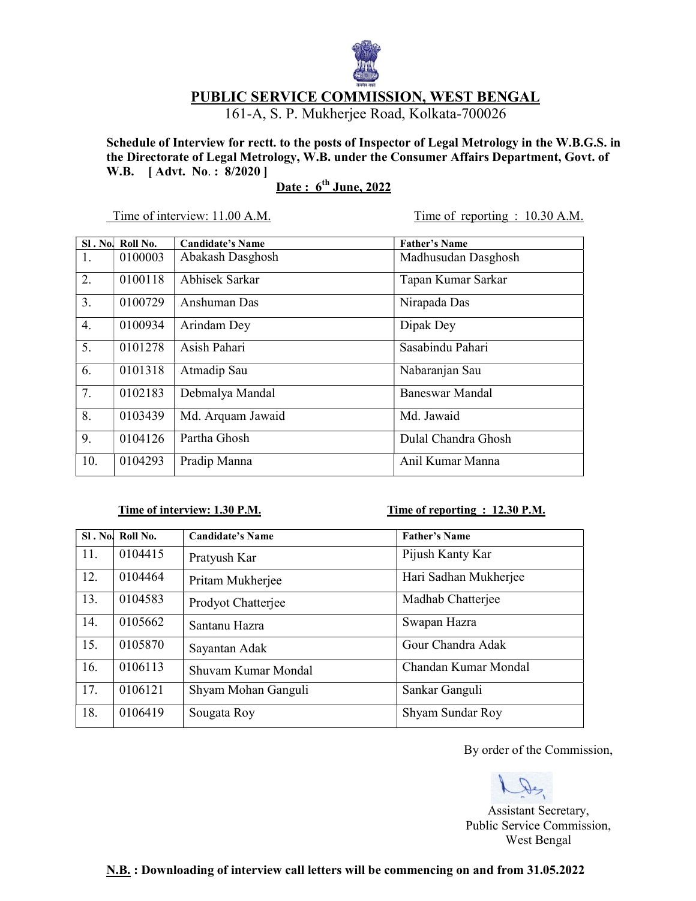

# PUBLIC SERVICE COMMISSION, WEST BENGAL

161-A, S. P. Mukherjee Road, Kolkata-700026

Schedule of Interview for rectt. to the posts of Inspector of Legal Metrology in the W.B.G.S. in the Directorate of Legal Metrology, W.B. under the Consumer Affairs Department, Govt. of W.B. [ Advt. No. : 8/2020 ]

# Date: 6<sup>th</sup> June, 2022

Time of interview: 11.00 A.M. Time of reporting : 10.30 A.M.

|     | SI. No. Roll No. | Candidate's Name      | <b>Father's Name</b>   |
|-----|------------------|-----------------------|------------------------|
| 1.  | 0100003          | Abakash Dasghosh      | Madhusudan Dasghosh    |
| 2.  | 0100118          | <b>Abhisek Sarkar</b> | Tapan Kumar Sarkar     |
| 3.  | 0100729          | Anshuman Das          | Nirapada Das           |
| 4.  | 0100934          | Arindam Dey           | Dipak Dey              |
| 5.  | 0101278          | Asish Pahari          | Sasabindu Pahari       |
| 6.  | 0101318          | Atmadip Sau           | Nabaranjan Sau         |
| 7.  | 0102183          | Debmalya Mandal       | <b>Baneswar Mandal</b> |
| 8.  | 0103439          | Md. Arquam Jawaid     | Md. Jawaid             |
| 9.  | 0104126          | Partha Ghosh          | Dulal Chandra Ghosh    |
| 10. | 0104293          | Pradip Manna          | Anil Kumar Manna       |

### Time of interview: 1.30 P.M. Time of reporting : 12.30 P.M.

|     | SI. No. Roll No. | <b>Candidate's Name</b> | <b>Father's Name</b>  |
|-----|------------------|-------------------------|-----------------------|
| 11. | 0104415          | Pratyush Kar            | Pijush Kanty Kar      |
| 12. | 0104464          | Pritam Mukherjee        | Hari Sadhan Mukherjee |
| 13. | 0104583          | Prodyot Chatterjee      | Madhab Chatterjee     |
| 14. | 0105662          | Santanu Hazra           | Swapan Hazra          |
| 15. | 0105870          | Sayantan Adak           | Gour Chandra Adak     |
| 16. | 0106113          | Shuvam Kumar Mondal     | Chandan Kumar Mondal  |
| 17. | 0106121          | Shyam Mohan Ganguli     | Sankar Ganguli        |
| 18. | 0106419          | Sougata Roy             | Shyam Sundar Roy      |

By order of the Commission,

 Assistant Secretary, Public Service Commission, West Bengal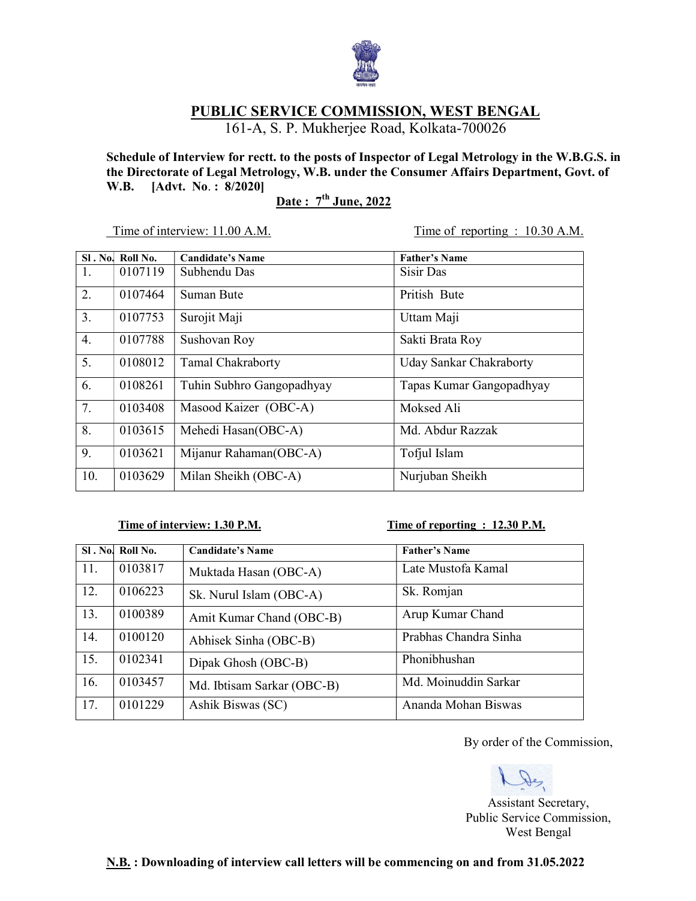

## PUBLIC SERVICE COMMISSION, WEST BENGAL

161-A, S. P. Mukherjee Road, Kolkata-700026

Schedule of Interview for rectt. to the posts of Inspector of Legal Metrology in the W.B.G.S. in the Directorate of Legal Metrology, W.B. under the Consumer Affairs Department, Govt. of W.B. [Advt. No. : 8/2020]

 $\frac{\text{Date : } 7^{\text{th}} \text{ June, } 2022}{\text{Date: } 7^{\text{th}} \text{ June, } 2022}$ 

Time of interview: 11.00 A.M. Time of reporting : 10.30 A.M.

| $SI.$ No. | Roll No. | Candidate's Name          | <b>Father's Name</b>     |
|-----------|----------|---------------------------|--------------------------|
| 1.        | 0107119  | Subhendu Das              | Sisir Das                |
| 2.        | 0107464  | Suman Bute                | Pritish Bute             |
| 3.        | 0107753  | Surojit Maji              | Uttam Maji               |
| 4.        | 0107788  | Sushovan Roy              | Sakti Brata Roy          |
| 5.        | 0108012  | <b>Tamal Chakraborty</b>  | Uday Sankar Chakraborty  |
| 6.        | 0108261  | Tuhin Subhro Gangopadhyay | Tapas Kumar Gangopadhyay |
| 7.        | 0103408  | Masood Kaizer (OBC-A)     | Moksed Ali               |
| 8.        | 0103615  | Mehedi Hasan(OBC-A)       | Md. Abdur Razzak         |
| 9.        | 0103621  | Mijanur Rahaman(OBC-A)    | Tofjul Islam             |
| 10.       | 0103629  | Milan Sheikh (OBC-A)      | Nurjuban Sheikh          |

### Time of interview: 1.30 P.M. Time of reporting : 12.30 P.M.

|     | SI. No. Roll No. | <b>Candidate's Name</b>    | <b>Father's Name</b>  |
|-----|------------------|----------------------------|-----------------------|
| 11. | 0103817          | Muktada Hasan (OBC-A)      | Late Mustofa Kamal    |
| 12. | 0106223          | Sk. Nurul Islam (OBC-A)    | Sk. Romjan            |
| 13. | 0100389          | Amit Kumar Chand (OBC-B)   | Arup Kumar Chand      |
| 14. | 0100120          | Abhisek Sinha (OBC-B)      | Prabhas Chandra Sinha |
| 15. | 0102341          | Dipak Ghosh (OBC-B)        | Phonibhushan          |
| 16. | 0103457          | Md. Ibtisam Sarkar (OBC-B) | Md. Moinuddin Sarkar  |
| 17. | 0101229          | Ashik Biswas (SC)          | Ananda Mohan Biswas   |

By order of the Commission,

De Assistant Secretary, Public Service Commission, West Bengal